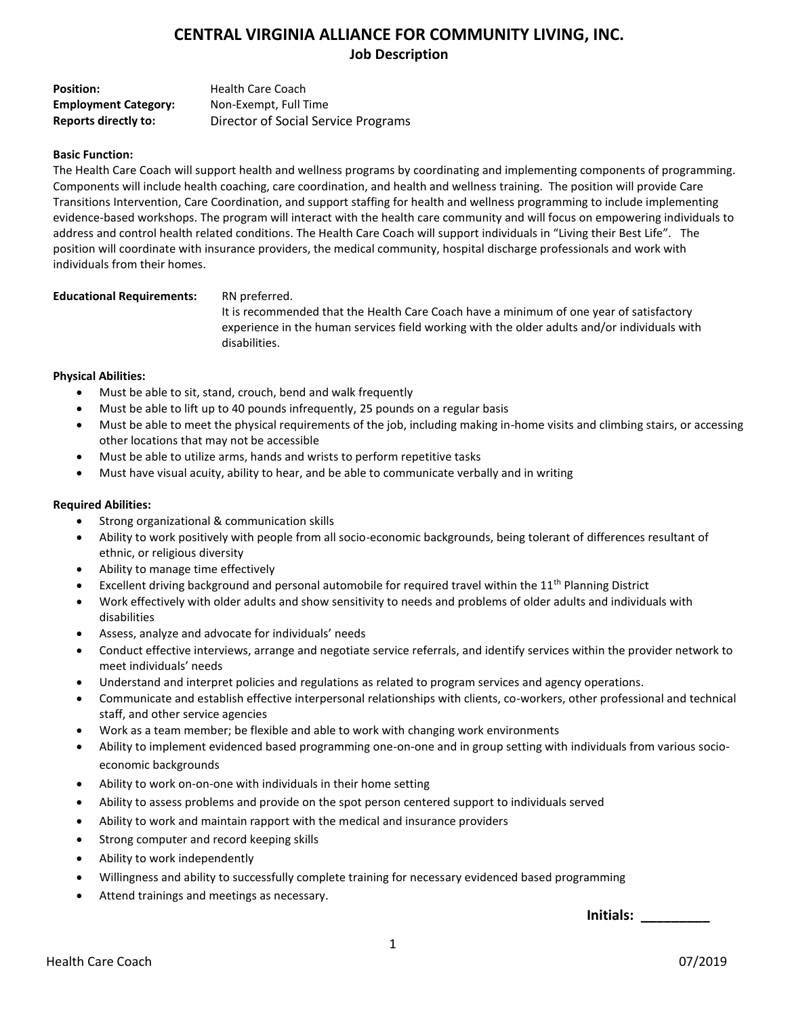# **CENTRAL VIRGINIA ALLIANCE FOR COMMUNITY LIVING, INC. Job Description**

| <b>Position:</b>            | <b>Health Care Coach</b>            |
|-----------------------------|-------------------------------------|
| <b>Employment Category:</b> | Non-Exempt, Full Time               |
| <b>Reports directly to:</b> | Director of Social Service Programs |

#### **Basic Function:**

The Health Care Coach will support health and wellness programs by coordinating and implementing components of programming. Components will include health coaching, care coordination, and health and wellness training. The position will provide Care Transitions Intervention, Care Coordination, and support staffing for health and wellness programming to include implementing evidence-based workshops. The program will interact with the health care community and will focus on empowering individuals to address and control health related conditions. The Health Care Coach will support individuals in "Living their Best Life". The position will coordinate with insurance providers, the medical community, hospital discharge professionals and work with individuals from their homes.

#### **Educational Requirements:** RN preferred.

It is recommended that the Health Care Coach have a minimum of one year of satisfactory experience in the human services field working with the older adults and/or individuals with disabilities.

#### **Physical Abilities:**

- Must be able to sit, stand, crouch, bend and walk frequently
- Must be able to lift up to 40 pounds infrequently, 25 pounds on a regular basis
- Must be able to meet the physical requirements of the job, including making in-home visits and climbing stairs, or accessing other locations that may not be accessible
- Must be able to utilize arms, hands and wrists to perform repetitive tasks
- Must have visual acuity, ability to hear, and be able to communicate verbally and in writing

#### **Required Abilities:**

- Strong organizational & communication skills
- Ability to work positively with people from all socio-economic backgrounds, being tolerant of differences resultant of ethnic, or religious diversity
- Ability to manage time effectively
- Excellent driving background and personal automobile for required travel within the  $11^{\text{th}}$  Planning District
- Work effectively with older adults and show sensitivity to needs and problems of older adults and individuals with disabilities
- Assess, analyze and advocate for individuals' needs
- Conduct effective interviews, arrange and negotiate service referrals, and identify services within the provider network to meet individuals' needs
- Understand and interpret policies and regulations as related to program services and agency operations.
- Communicate and establish effective interpersonal relationships with clients, co-workers, other professional and technical staff, and other service agencies
- Work as a team member; be flexible and able to work with changing work environments
- Ability to implement evidenced based programming one-on-one and in group setting with individuals from various socioeconomic backgrounds
- Ability to work on-on-one with individuals in their home setting
- Ability to assess problems and provide on the spot person centered support to individuals served
- Ability to work and maintain rapport with the medical and insurance providers
- Strong computer and record keeping skills
- Ability to work independently
- Willingness and ability to successfully complete training for necessary evidenced based programming
- Attend trainings and meetings as necessary.

 **Initials: \_\_\_\_\_\_\_\_\_**